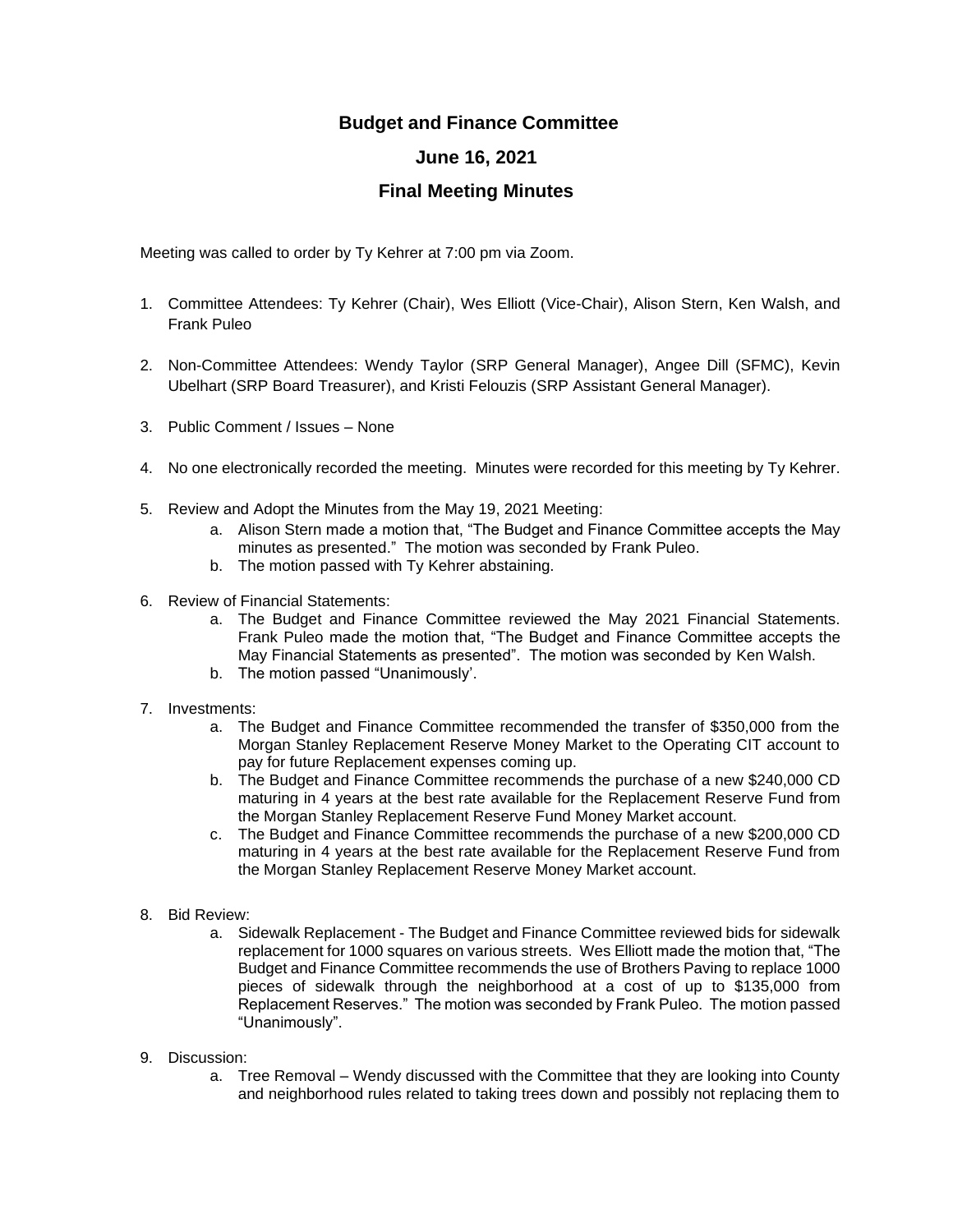## **Budget and Finance Committee**

## **June 16, 2021**

## **Final Meeting Minutes**

Meeting was called to order by Ty Kehrer at 7:00 pm via Zoom.

- 1. Committee Attendees: Ty Kehrer (Chair), Wes Elliott (Vice-Chair), Alison Stern, Ken Walsh, and Frank Puleo
- 2. Non-Committee Attendees: Wendy Taylor (SRP General Manager), Angee Dill (SFMC), Kevin Ubelhart (SRP Board Treasurer), and Kristi Felouzis (SRP Assistant General Manager).
- 3. Public Comment / Issues None
- 4. No one electronically recorded the meeting. Minutes were recorded for this meeting by Ty Kehrer.
- 5. Review and Adopt the Minutes from the May 19, 2021 Meeting:
	- a. Alison Stern made a motion that, "The Budget and Finance Committee accepts the May minutes as presented." The motion was seconded by Frank Puleo.
	- b. The motion passed with Ty Kehrer abstaining.
- 6. Review of Financial Statements:
	- a. The Budget and Finance Committee reviewed the May 2021 Financial Statements. Frank Puleo made the motion that, "The Budget and Finance Committee accepts the May Financial Statements as presented". The motion was seconded by Ken Walsh.
	- b. The motion passed "Unanimously'.
- 7. Investments:
	- a. The Budget and Finance Committee recommended the transfer of \$350,000 from the Morgan Stanley Replacement Reserve Money Market to the Operating CIT account to pay for future Replacement expenses coming up.
	- b. The Budget and Finance Committee recommends the purchase of a new \$240,000 CD maturing in 4 years at the best rate available for the Replacement Reserve Fund from the Morgan Stanley Replacement Reserve Fund Money Market account.
	- c. The Budget and Finance Committee recommends the purchase of a new \$200,000 CD maturing in 4 years at the best rate available for the Replacement Reserve Fund from the Morgan Stanley Replacement Reserve Money Market account.
- 8. Bid Review:
	- a. Sidewalk Replacement The Budget and Finance Committee reviewed bids for sidewalk replacement for 1000 squares on various streets. Wes Elliott made the motion that, "The Budget and Finance Committee recommends the use of Brothers Paving to replace 1000 pieces of sidewalk through the neighborhood at a cost of up to \$135,000 from Replacement Reserves." The motion was seconded by Frank Puleo. The motion passed "Unanimously".
- 9. Discussion:
	- a. Tree Removal Wendy discussed with the Committee that they are looking into County and neighborhood rules related to taking trees down and possibly not replacing them to